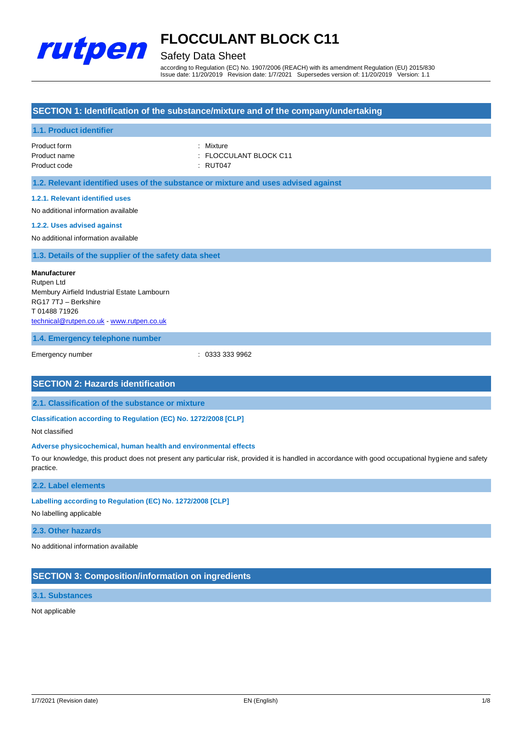

## Safety Data Sheet

according to Regulation (EC) No. 1907/2006 (REACH) with its amendment Regulation (EU) 2015/830 Issue date: 11/20/2019 Revision date: 1/7/2021 Supersedes version of: 11/20/2019 Version: 1.1

## **SECTION 1: Identification of the substance/mixture and of the company/undertaking**

## **1.1. Product identifier**

| Product form | : Mixture |
|--------------|-----------|
| Product name | : FLOCCL  |
| Product code | : RUT047  |

: Mixture : FLOCCULANT BLOCK C11

**1.2. Relevant identified uses of the substance or mixture and uses advised against**

## **1.2.1. Relevant identified uses**

No additional information available

#### **1.2.2. Uses advised against**

No additional information available

## **1.3. Details of the supplier of the safety data sheet**

**Manufacturer** Rutpen Ltd Membury Airfield Industrial Estate Lambourn RG17 7TJ – Berkshire T 01488 71926 [technical@rutpen.co.uk](mailto:technical@rutpen.co.uk) - [www.rutpen.co.uk](http://www.rutpen.co.uk/)

### **1.4. Emergency telephone number**

Emergency number : 0333 333 9962

## **SECTION 2: Hazards identification**

**2.1. Classification of the substance or mixture**

**Classification according to Regulation (EC) No. 1272/2008 [CLP]**

Not classified

### **Adverse physicochemical, human health and environmental effects**

To our knowledge, this product does not present any particular risk, provided it is handled in accordance with good occupational hygiene and safety practice.

## **2.2. Label elements**

## **Labelling according to Regulation (EC) No. 1272/2008 [CLP]**

No labelling applicable

#### **2.3. Other hazards**

No additional information available

## **SECTION 3: Composition/information on ingredients**

#### **3.1. Substances**

Not applicable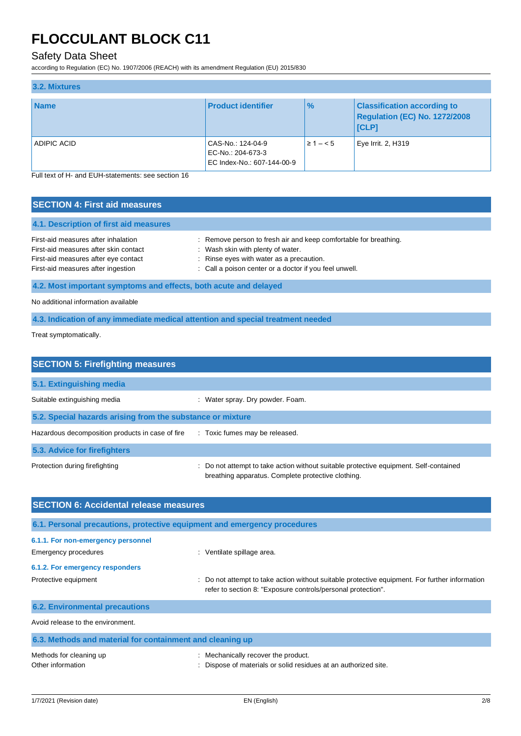## Safety Data Sheet

according to Regulation (EC) No. 1907/2006 (REACH) with its amendment Regulation (EU) 2015/830

| 3.2. Mixtures |                                                                      |               |                                                                              |
|---------------|----------------------------------------------------------------------|---------------|------------------------------------------------------------------------------|
| <b>Name</b>   | <b>Product identifier</b>                                            | $\frac{9}{6}$ | <b>Classification according to</b><br>Regulation (EC) No. 1272/2008<br>[CLP] |
| ADIPIC ACID   | CAS-No.: 124-04-9<br>EC-No.: 204-673-3<br>EC Index-No.: 607-144-00-9 | $\geq 1 - 5$  | Eye Irrit. 2, H319                                                           |

Full text of H- and EUH-statements: see section 16

| <b>SECTION 4: First aid measures</b>                                                                                                                       |                                                                                                                                                                                                             |  |  |
|------------------------------------------------------------------------------------------------------------------------------------------------------------|-------------------------------------------------------------------------------------------------------------------------------------------------------------------------------------------------------------|--|--|
| 4.1. Description of first aid measures                                                                                                                     |                                                                                                                                                                                                             |  |  |
| First-aid measures after inhalation<br>First-aid measures after skin contact<br>First-aid measures after eye contact<br>First-aid measures after ingestion | : Remove person to fresh air and keep comfortable for breathing.<br>: Wash skin with plenty of water.<br>: Rinse eyes with water as a precaution.<br>: Call a poison center or a doctor if you feel unwell. |  |  |
| 4.2. Most important symptoms and effects, both acute and delayed                                                                                           |                                                                                                                                                                                                             |  |  |
| No additional information available                                                                                                                        |                                                                                                                                                                                                             |  |  |
| 4.3. Indication of any immediate medical attention and special treatment needed                                                                            |                                                                                                                                                                                                             |  |  |

Treat symptomatically.

| <b>SECTION 5: Firefighting measures</b>                    |                                                                                                                                           |
|------------------------------------------------------------|-------------------------------------------------------------------------------------------------------------------------------------------|
| 5.1. Extinguishing media                                   |                                                                                                                                           |
| Suitable extinguishing media                               | : Water spray. Dry powder. Foam.                                                                                                          |
| 5.2. Special hazards arising from the substance or mixture |                                                                                                                                           |
| Hazardous decomposition products in case of fire           | : Toxic fumes may be released.                                                                                                            |
| 5.3. Advice for firefighters                               |                                                                                                                                           |
| Protection during firefighting                             | Do not attempt to take action without suitable protective equipment. Self-contained<br>breathing apparatus. Complete protective clothing. |

| <b>SECTION 6: Accidental release measures</b>                            |                                                                                                                                                              |  |  |  |
|--------------------------------------------------------------------------|--------------------------------------------------------------------------------------------------------------------------------------------------------------|--|--|--|
| 6.1. Personal precautions, protective equipment and emergency procedures |                                                                                                                                                              |  |  |  |
| 6.1.1. For non-emergency personnel                                       |                                                                                                                                                              |  |  |  |
| Emergency procedures                                                     | : Ventilate spillage area.                                                                                                                                   |  |  |  |
| 6.1.2. For emergency responders                                          |                                                                                                                                                              |  |  |  |
| Protective equipment                                                     | Do not attempt to take action without suitable protective equipment. For further information<br>refer to section 8: "Exposure controls/personal protection". |  |  |  |
| <b>6.2. Environmental precautions</b>                                    |                                                                                                                                                              |  |  |  |
| Avoid release to the environment.                                        |                                                                                                                                                              |  |  |  |
| 6.3. Methods and material for containment and cleaning up                |                                                                                                                                                              |  |  |  |

| Methods for cleaning up | Mechanically recover the product.                             |
|-------------------------|---------------------------------------------------------------|
| Other information       | Dispose of materials or solid residues at an authorized site. |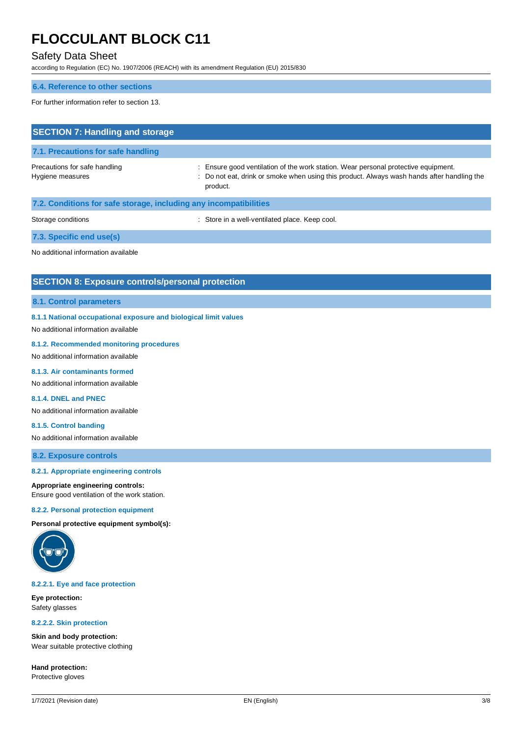## Safety Data Sheet

according to Regulation (EC) No. 1907/2006 (REACH) with its amendment Regulation (EU) 2015/830

## **6.4. Reference to other sections**

For further information refer to section 13.

| <b>SECTION 7: Handling and storage</b>                            |                                                                                                                                                                                              |
|-------------------------------------------------------------------|----------------------------------------------------------------------------------------------------------------------------------------------------------------------------------------------|
| 7.1. Precautions for safe handling                                |                                                                                                                                                                                              |
| Precautions for safe handling<br>Hygiene measures                 | : Ensure good ventilation of the work station. Wear personal protective equipment.<br>: Do not eat, drink or smoke when using this product. Always wash hands after handling the<br>product. |
| 7.2. Conditions for safe storage, including any incompatibilities |                                                                                                                                                                                              |
| Storage conditions                                                | : Store in a well-ventilated place. Keep cool.                                                                                                                                               |
| 7.3. Specific end use(s)                                          |                                                                                                                                                                                              |
| No additional information available                               |                                                                                                                                                                                              |

## **SECTION 8: Exposure controls/personal protection**

### **8.1. Control parameters**

### **8.1.1 National occupational exposure and biological limit values**

No additional information available

#### **8.1.2. Recommended monitoring procedures**

No additional information available

## **8.1.3. Air contaminants formed**

No additional information available

## **8.1.4. DNEL and PNEC**

No additional information available

## **8.1.5. Control banding**

No additional information available

**8.2. Exposure controls**

#### **8.2.1. Appropriate engineering controls**

#### **Appropriate engineering controls:**

Ensure good ventilation of the work station.

#### **8.2.2. Personal protection equipment**

**Personal protective equipment symbol(s):**



#### **8.2.2.1. Eye and face protection**

**Eye protection:** Safety glasses

#### **8.2.2.2. Skin protection**

**Skin and body protection:** Wear suitable protective clothing

**Hand protection:** Protective gloves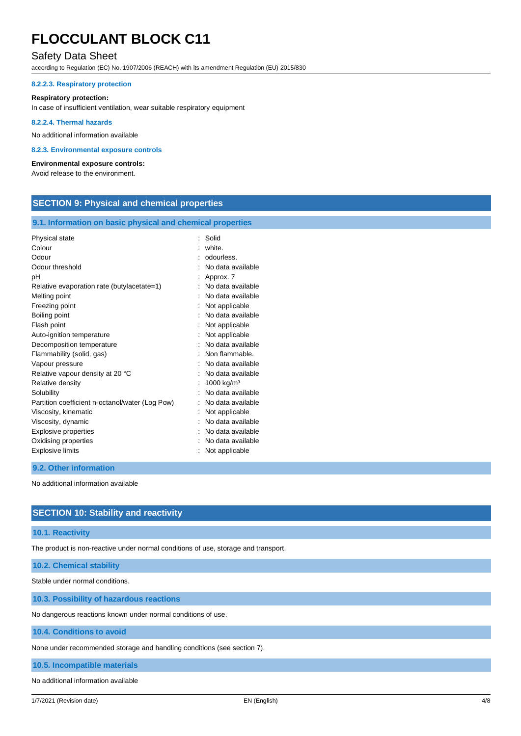## Safety Data Sheet

according to Regulation (EC) No. 1907/2006 (REACH) with its amendment Regulation (EU) 2015/830

## **8.2.2.3. Respiratory protection**

#### **Respiratory protection:**

In case of insufficient ventilation, wear suitable respiratory equipment

#### **8.2.2.4. Thermal hazards**

No additional information available

#### **8.2.3. Environmental exposure controls**

#### **Environmental exposure controls:**

Avoid release to the environment.

## **SECTION 9: Physical and chemical properties**

## **9.1. Information on basic physical and chemical properties**

| Physical state                                  | $\ddot{\phantom{a}}$ | Solid                  |
|-------------------------------------------------|----------------------|------------------------|
| Colour                                          |                      | white.                 |
| Odour                                           |                      | odourless.             |
| Odour threshold                                 |                      | No data available      |
| рH                                              |                      | Approx. 7              |
| Relative evaporation rate (butylacetate=1)      |                      | No data available      |
| Melting point                                   |                      | No data available      |
| Freezing point                                  |                      | Not applicable         |
| Boiling point                                   |                      | No data available      |
| Flash point                                     |                      | Not applicable         |
| Auto-ignition temperature                       |                      | Not applicable         |
| Decomposition temperature                       |                      | No data available      |
| Flammability (solid, gas)                       |                      | Non flammable.         |
| Vapour pressure                                 |                      | No data available      |
| Relative vapour density at 20 °C                |                      | No data available      |
| Relative density                                |                      | 1000 kg/m <sup>3</sup> |
| Solubility                                      |                      | No data available      |
| Partition coefficient n-octanol/water (Log Pow) |                      | No data available      |
| Viscosity, kinematic                            |                      | Not applicable         |
| Viscosity, dynamic                              |                      | No data available      |
| <b>Explosive properties</b>                     |                      | No data available      |
| Oxidising properties                            |                      | No data available      |
| <b>Explosive limits</b>                         |                      | Not applicable         |

### **9.2. Other information**

No additional information available

## **SECTION 10: Stability and reactivity**

### **10.1. Reactivity**

The product is non-reactive under normal conditions of use, storage and transport.

### **10.2. Chemical stability**

Stable under normal conditions.

## **10.3. Possibility of hazardous reactions**

No dangerous reactions known under normal conditions of use.

## **10.4. Conditions to avoid**

None under recommended storage and handling conditions (see section 7).

**10.5. Incompatible materials**

#### No additional information available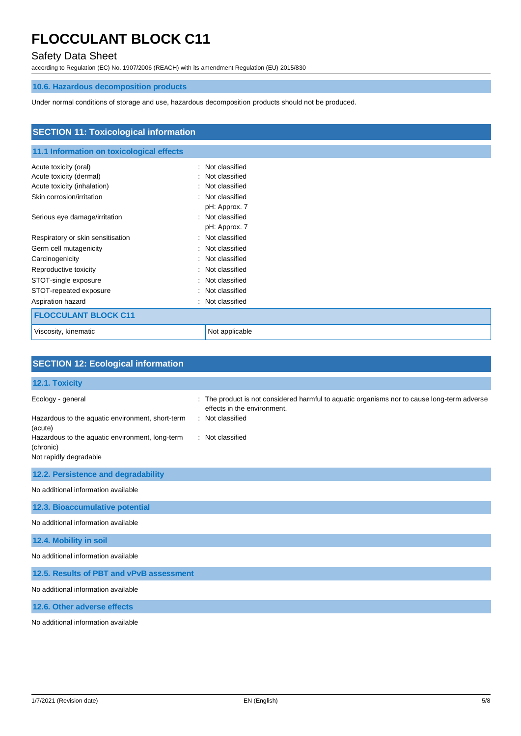## Safety Data Sheet

according to Regulation (EC) No. 1907/2006 (REACH) with its amendment Regulation (EU) 2015/830

## **10.6. Hazardous decomposition products**

Under normal conditions of storage and use, hazardous decomposition products should not be produced.

| <b>SECTION 11: Toxicological information</b> |                      |  |
|----------------------------------------------|----------------------|--|
| 11.1 Information on toxicological effects    |                      |  |
|                                              |                      |  |
| Acute toxicity (oral)                        | Not classified<br>٠  |  |
| Acute toxicity (dermal)                      | Not classified       |  |
| Acute toxicity (inhalation)                  | Not classified       |  |
| Skin corrosion/irritation                    | Not classified<br>٠  |  |
|                                              | pH: Approx. 7        |  |
| Serious eye damage/irritation                | Not classified<br>۰. |  |
|                                              | pH: Approx. 7        |  |
| Respiratory or skin sensitisation            | Not classified<br>÷  |  |
| Germ cell mutagenicity                       | Not classified<br>٠  |  |
| Carcinogenicity                              | Not classified<br>÷  |  |
| Reproductive toxicity                        | Not classified<br>÷  |  |
| STOT-single exposure                         | Not classified       |  |
| STOT-repeated exposure                       | Not classified<br>٠  |  |
| Aspiration hazard                            | Not classified<br>÷  |  |
| <b>FLOCCULANT BLOCK C11</b>                  |                      |  |
| Viscosity, kinematic                         | Not applicable       |  |

| <b>SECTION 12: Ecological information</b>                                              |                                                                                                                          |
|----------------------------------------------------------------------------------------|--------------------------------------------------------------------------------------------------------------------------|
| 12.1. Toxicity                                                                         |                                                                                                                          |
| Ecology - general                                                                      | The product is not considered harmful to aquatic organisms nor to cause long-term adverse<br>effects in the environment. |
| Hazardous to the aquatic environment, short-term<br>(acute)                            | : Not classified                                                                                                         |
| Hazardous to the aquatic environment, long-term<br>(chronic)<br>Not rapidly degradable | : Not classified                                                                                                         |
| 12.2. Persistence and degradability                                                    |                                                                                                                          |
| No additional information available                                                    |                                                                                                                          |
| 12.3. Bioaccumulative potential                                                        |                                                                                                                          |
| No additional information available                                                    |                                                                                                                          |
| 12.4. Mobility in soil                                                                 |                                                                                                                          |
| No additional information available                                                    |                                                                                                                          |
| 12.5. Results of PBT and vPvB assessment                                               |                                                                                                                          |
| No additional information available                                                    |                                                                                                                          |
| 12.6. Other adverse effects                                                            |                                                                                                                          |
| No additional information available                                                    |                                                                                                                          |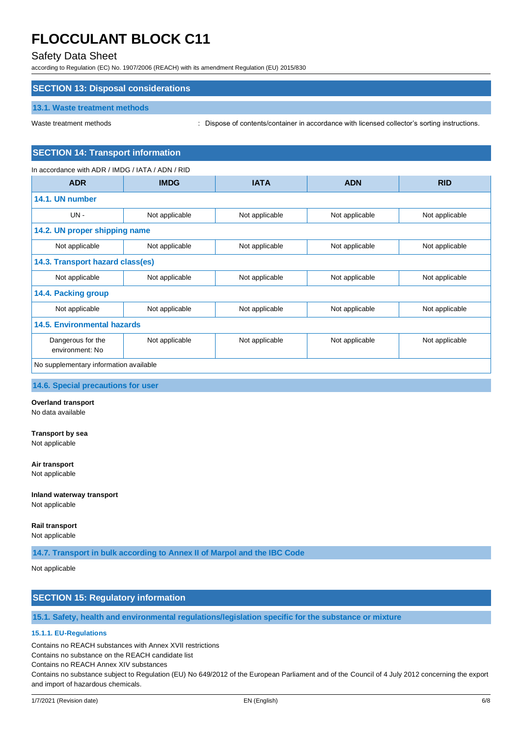## Safety Data Sheet

according to Regulation (EC) No. 1907/2006 (REACH) with its amendment Regulation (EU) 2015/830

## **SECTION 13: Disposal considerations**

### **13.1. Waste treatment methods**

Waste treatment methods : Dispose of contents/container in accordance with licensed collector's sorting instructions.

## **SECTION 14: Transport information**

## In accordance with ADR / IMDG / IATA / ADN / RID

| <b>ADR</b>                             | <b>IMDG</b>                      | <b>IATA</b>    | <b>ADN</b>     | <b>RID</b>     |  |
|----------------------------------------|----------------------------------|----------------|----------------|----------------|--|
| 14.1. UN number                        |                                  |                |                |                |  |
| $UN -$                                 | Not applicable                   | Not applicable | Not applicable | Not applicable |  |
| 14.2. UN proper shipping name          |                                  |                |                |                |  |
| Not applicable                         | Not applicable                   | Not applicable | Not applicable | Not applicable |  |
|                                        | 14.3. Transport hazard class(es) |                |                |                |  |
| Not applicable                         | Not applicable                   | Not applicable | Not applicable | Not applicable |  |
| 14.4. Packing group                    |                                  |                |                |                |  |
| Not applicable                         | Not applicable                   | Not applicable | Not applicable | Not applicable |  |
| <b>14.5. Environmental hazards</b>     |                                  |                |                |                |  |
| Dangerous for the<br>environment: No   | Not applicable                   | Not applicable | Not applicable | Not applicable |  |
| No supplementary information available |                                  |                |                |                |  |

#### **14.6. Special precautions for user**

#### **Overland transport**

No data available

## **Transport by sea**

Not applicable

## **Air transport**

Not applicable

## **Inland waterway transport**

Not applicable

## **Rail transport**

Not applicable

**14.7. Transport in bulk according to Annex II of Marpol and the IBC Code**

### Not applicable

## **SECTION 15: Regulatory information**

## **15.1. Safety, health and environmental regulations/legislation specific for the substance or mixture**

## **15.1.1. EU-Regulations**

Contains no REACH substances with Annex XVII restrictions

Contains no substance on the REACH candidate list

Contains no REACH Annex XIV substances

Contains no substance subject to Regulation (EU) No 649/2012 of the European Parliament and of the Council of 4 July 2012 concerning the export and import of hazardous chemicals.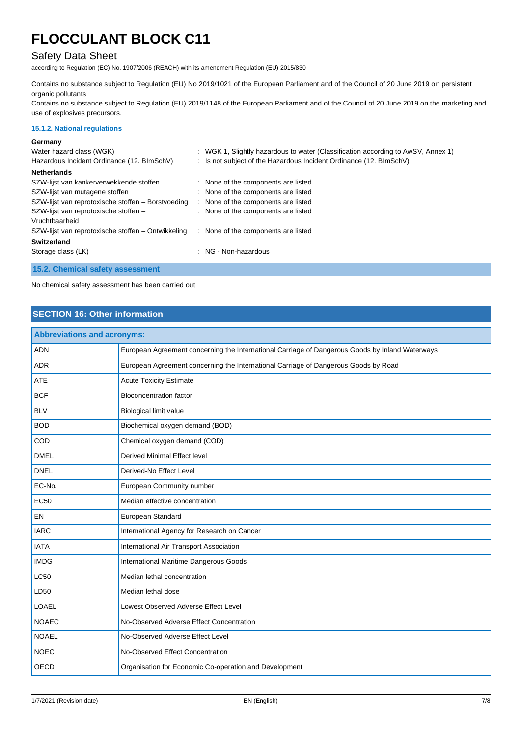## Safety Data Sheet

according to Regulation (EC) No. 1907/2006 (REACH) with its amendment Regulation (EU) 2015/830

Contains no substance subject to Regulation (EU) No 2019/1021 of the European Parliament and of the Council of 20 June 2019 on persistent organic pollutants

Contains no substance subject to Regulation (EU) 2019/1148 of the European Parliament and of the Council of 20 June 2019 on the marketing and use of explosives precursors.

### **15.1.2. National regulations**

#### **Germany**

| Water hazard class (WGK)                           | : WGK 1, Slightly hazardous to water (Classification according to AwSV, Annex 1) |
|----------------------------------------------------|----------------------------------------------------------------------------------|
| Hazardous Incident Ordinance (12. BImSchV)         | : Is not subject of the Hazardous Incident Ordinance (12. BImSchV)               |
| <b>Netherlands</b>                                 |                                                                                  |
| SZW-lijst van kankerverwekkende stoffen            | : None of the components are listed                                              |
| SZW-lijst van mutagene stoffen                     | : None of the components are listed                                              |
| SZW-lijst van reprotoxische stoffen - Borstvoeding | : None of the components are listed                                              |
| SZW-lijst van reprotoxische stoffen -              | : None of the components are listed                                              |
| Vruchtbaarheid                                     |                                                                                  |
| SZW-lijst van reprotoxische stoffen - Ontwikkeling | : None of the components are listed                                              |
| Switzerland                                        |                                                                                  |
| Storage class (LK)                                 | : NG - Non-hazardous                                                             |
| 15.2. Chemical safety assessment                   |                                                                                  |

No chemical safety assessment has been carried out

## **SECTION 16: Other information**

| <b>Abbreviations and acronyms:</b> |                                                                                                 |  |
|------------------------------------|-------------------------------------------------------------------------------------------------|--|
| <b>ADN</b>                         | European Agreement concerning the International Carriage of Dangerous Goods by Inland Waterways |  |
| <b>ADR</b>                         | European Agreement concerning the International Carriage of Dangerous Goods by Road             |  |
| <b>ATE</b>                         | <b>Acute Toxicity Estimate</b>                                                                  |  |
| <b>BCF</b>                         | <b>Bioconcentration factor</b>                                                                  |  |
| <b>BLV</b>                         | <b>Biological limit value</b>                                                                   |  |
| <b>BOD</b>                         | Biochemical oxygen demand (BOD)                                                                 |  |
| COD                                | Chemical oxygen demand (COD)                                                                    |  |
| <b>DMEL</b>                        | <b>Derived Minimal Effect level</b>                                                             |  |
| <b>DNEL</b>                        | Derived-No Effect Level                                                                         |  |
| EC-No.                             | European Community number                                                                       |  |
| <b>EC50</b>                        | Median effective concentration                                                                  |  |
| EN                                 | European Standard                                                                               |  |
| <b>IARC</b>                        | International Agency for Research on Cancer                                                     |  |
| <b>IATA</b>                        | International Air Transport Association                                                         |  |
| <b>IMDG</b>                        | <b>International Maritime Dangerous Goods</b>                                                   |  |
| LC50                               | Median lethal concentration                                                                     |  |
| LD50                               | Median lethal dose                                                                              |  |
| <b>LOAEL</b>                       | Lowest Observed Adverse Effect Level                                                            |  |
| <b>NOAEC</b>                       | No-Observed Adverse Effect Concentration                                                        |  |
| <b>NOAEL</b>                       | No-Observed Adverse Effect Level                                                                |  |
| <b>NOEC</b>                        | No-Observed Effect Concentration                                                                |  |
| <b>OECD</b>                        | Organisation for Economic Co-operation and Development                                          |  |